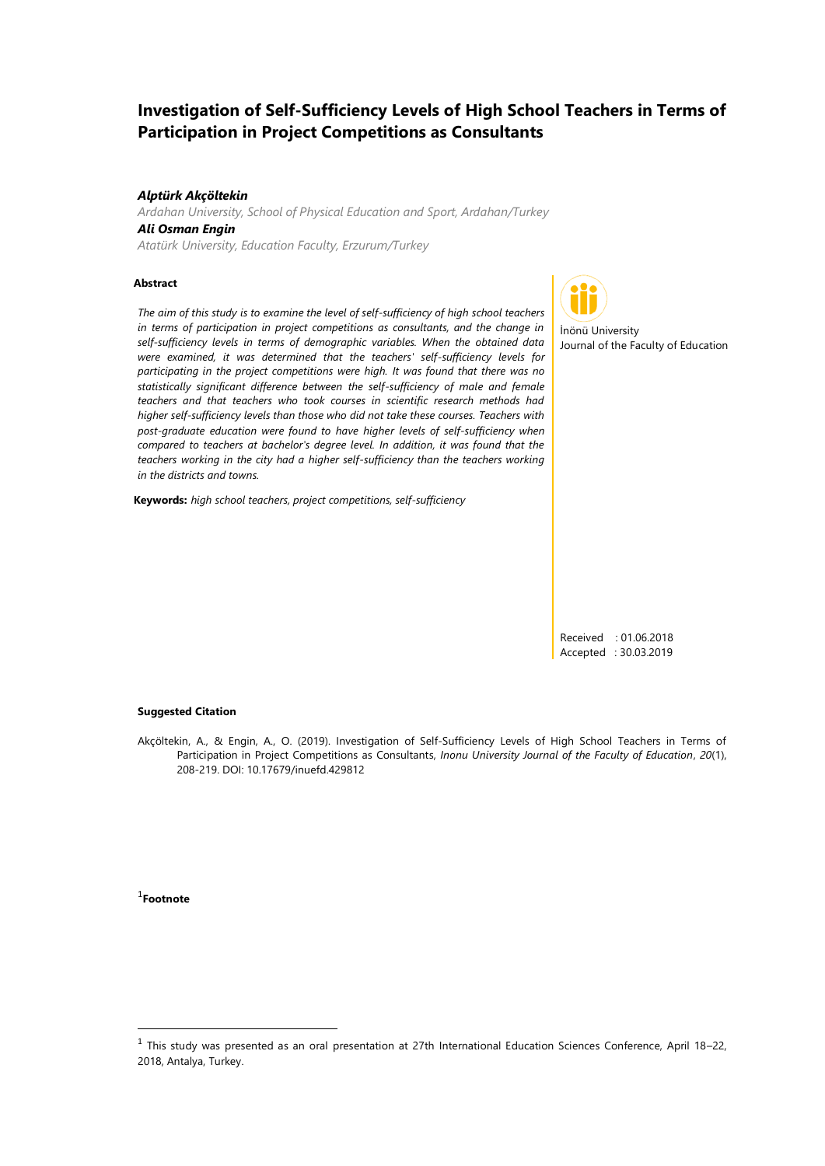# **Investigation of Self-Sufficiency Levels of High School Teachers in Terms of Participation in Project Competitions as Consultants**

#### *Alptürk Akçöltekin*

*Ardahan University, School of Physical Education and Sport, Ardahan/Turkey Ali Osman Engin*

*Atatürk University, Education Faculty, Erzurum/Turkey*

#### **Abstract**

*The aim of this study is to examine the level of self-sufficiency of high school teachers in terms of participation in project competitions as consultants, and the change in self-sufficiency levels in terms of demographic variables. When the obtained data were examined, it was determined that the teachers' self-sufficiency levels for participating in the project competitions were high. It was found that there was no statistically significant difference between the self-sufficiency of male and female teachers and that teachers who took courses in scientific research methods had higher self-sufficiency levels than those who did not take these courses. Teachers with post-graduate education were found to have higher levels of self-sufficiency when compared to teachers at bachelor's degree level. In addition, it was found that the teachers working in the city had a higher self-sufficiency than the teachers working in the districts and towns.* 

**Keywords:** *high school teachers, project competitions, self-sufficiency*



İnönü University Journal of the Faculty of Education

Received : 01.06.2018 Accepted : 30.03.2019

#### **Suggested Citation**

Akçöltekin, A., & Engin, A., O. (2019). Investigation of Self-Sufficiency Levels of High School Teachers in Terms of Participation in Project Competitions as Consultants, *Inonu University Journal of the Faculty of Education*, *20*(1), 208-219. DOI: 10.17679/inuefd.429812

1 **Footnote**

**.** 

<sup>&</sup>lt;sup>1</sup> This study was presented as an oral presentation at 27th International Education Sciences Conference, April 18–22, 2018, Antalya, Turkey.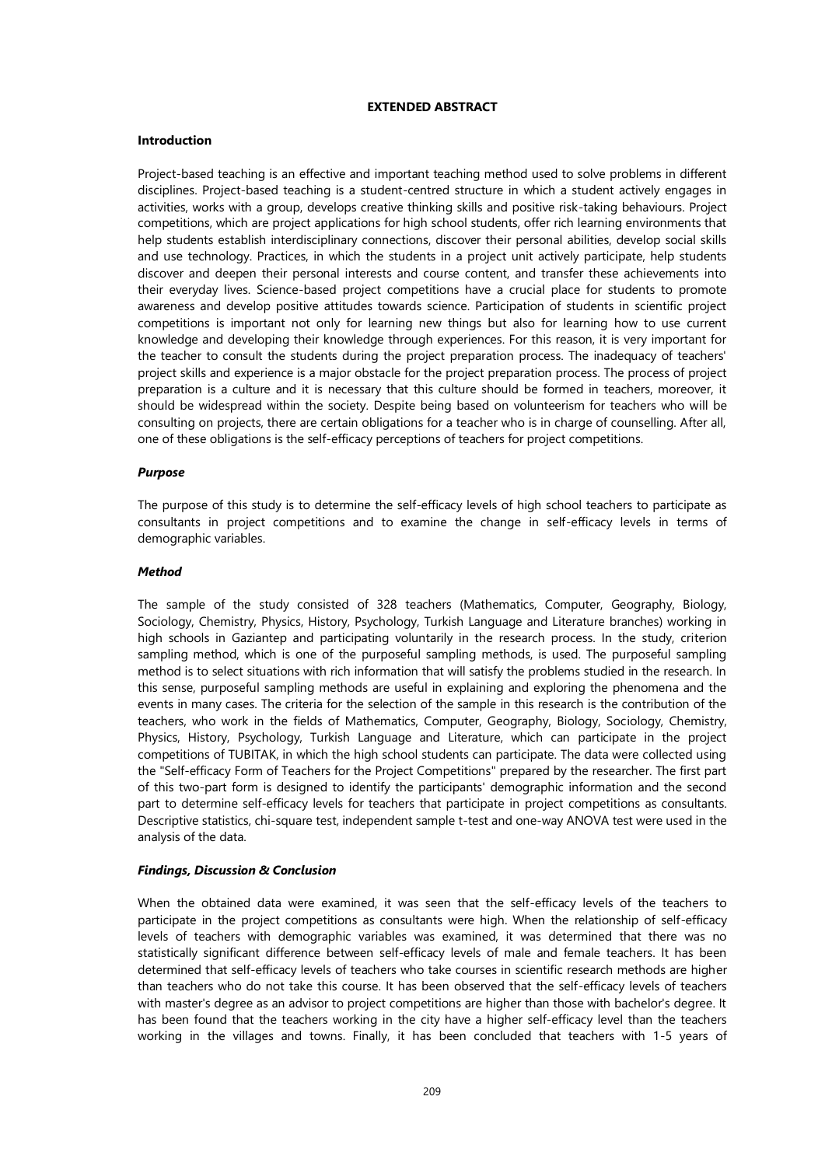# **EXTENDED ABSTRACT**

## **Introduction**

Project-based teaching is an effective and important teaching method used to solve problems in different disciplines. Project-based teaching is a student-centred structure in which a student actively engages in activities, works with a group, develops creative thinking skills and positive risk-taking behaviours. Project competitions, which are project applications for high school students, offer rich learning environments that help students establish interdisciplinary connections, discover their personal abilities, develop social skills and use technology. Practices, in which the students in a project unit actively participate, help students discover and deepen their personal interests and course content, and transfer these achievements into their everyday lives. Science-based project competitions have a crucial place for students to promote awareness and develop positive attitudes towards science. Participation of students in scientific project competitions is important not only for learning new things but also for learning how to use current knowledge and developing their knowledge through experiences. For this reason, it is very important for the teacher to consult the students during the project preparation process. The inadequacy of teachers' project skills and experience is a major obstacle for the project preparation process. The process of project preparation is a culture and it is necessary that this culture should be formed in teachers, moreover, it should be widespread within the society. Despite being based on volunteerism for teachers who will be consulting on projects, there are certain obligations for a teacher who is in charge of counselling. After all, one of these obligations is the self-efficacy perceptions of teachers for project competitions.

#### *Purpose*

The purpose of this study is to determine the self-efficacy levels of high school teachers to participate as consultants in project competitions and to examine the change in self-efficacy levels in terms of demographic variables.

## *Method*

The sample of the study consisted of 328 teachers (Mathematics, Computer, Geography, Biology, Sociology, Chemistry, Physics, History, Psychology, Turkish Language and Literature branches) working in high schools in Gaziantep and participating voluntarily in the research process. In the study, criterion sampling method, which is one of the purposeful sampling methods, is used. The purposeful sampling method is to select situations with rich information that will satisfy the problems studied in the research. In this sense, purposeful sampling methods are useful in explaining and exploring the phenomena and the events in many cases. The criteria for the selection of the sample in this research is the contribution of the teachers, who work in the fields of Mathematics, Computer, Geography, Biology, Sociology, Chemistry, Physics, History, Psychology, Turkish Language and Literature, which can participate in the project competitions of TUBITAK, in which the high school students can participate. The data were collected using the "Self-efficacy Form of Teachers for the Project Competitions" prepared by the researcher. The first part of this two-part form is designed to identify the participants' demographic information and the second part to determine self-efficacy levels for teachers that participate in project competitions as consultants. Descriptive statistics, chi-square test, independent sample t-test and one-way ANOVA test were used in the analysis of the data.

# *Findings, Discussion & Conclusion*

When the obtained data were examined, it was seen that the self-efficacy levels of the teachers to participate in the project competitions as consultants were high. When the relationship of self-efficacy levels of teachers with demographic variables was examined, it was determined that there was no statistically significant difference between self-efficacy levels of male and female teachers. It has been determined that self-efficacy levels of teachers who take courses in scientific research methods are higher than teachers who do not take this course. It has been observed that the self-efficacy levels of teachers with master's degree as an advisor to project competitions are higher than those with bachelor's degree. It has been found that the teachers working in the city have a higher self-efficacy level than the teachers working in the villages and towns. Finally, it has been concluded that teachers with 1-5 years of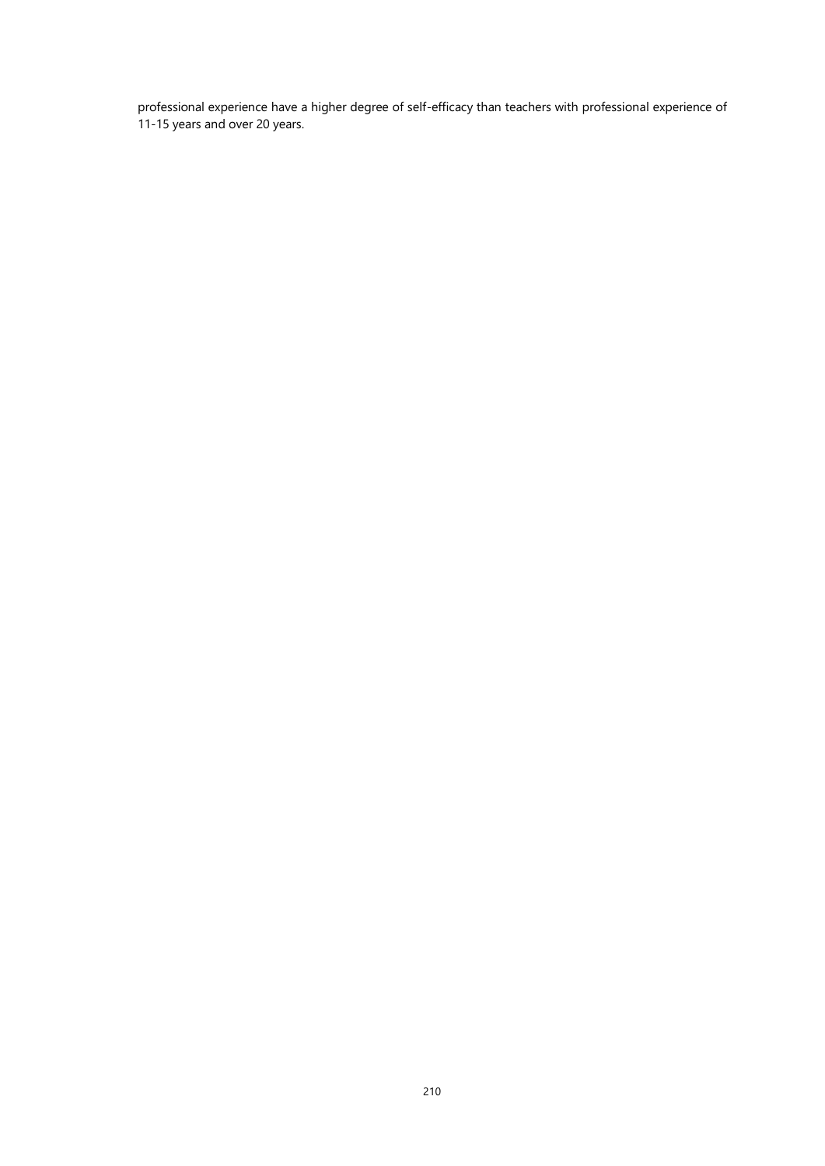professional experience have a higher degree of self-efficacy than teachers with professional experience of 11-15 years and over 20 years.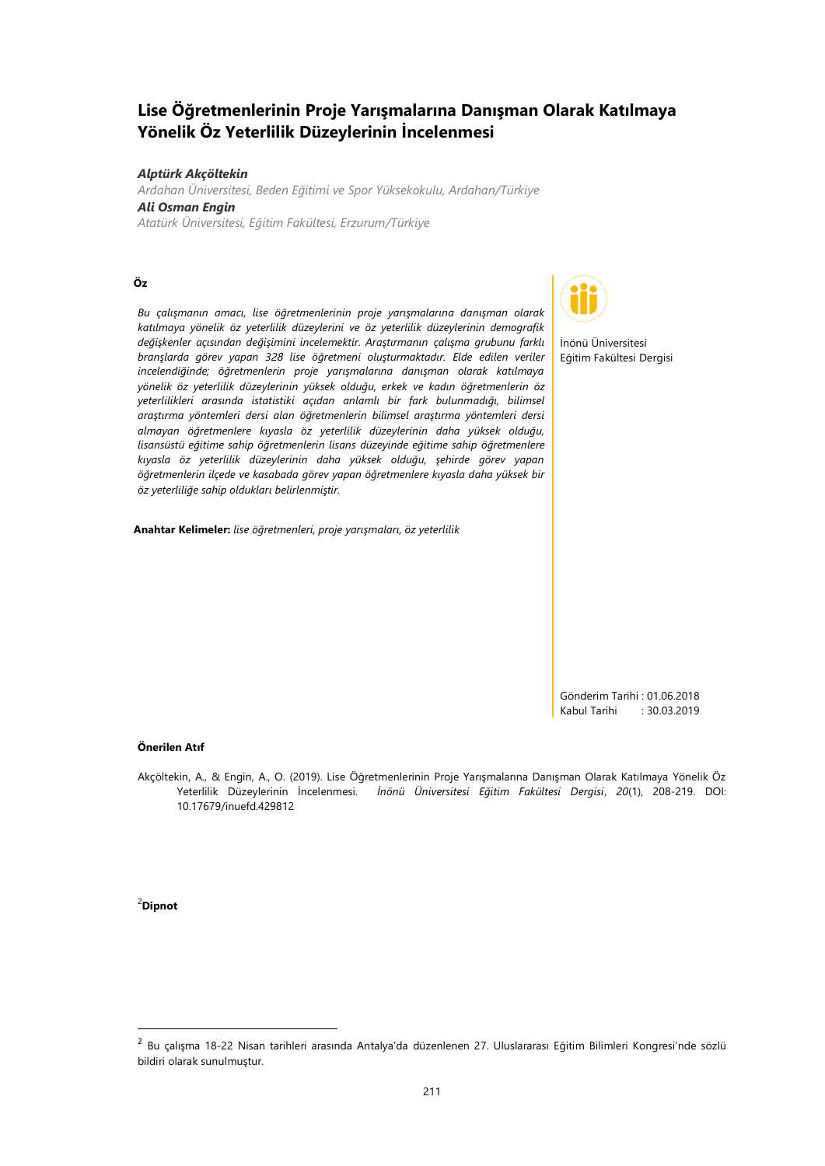# **Lise Öğretmenlerinin Proje Yarışmalarına Danışman Olarak Katılmaya Yönelik Öz Yeterlilik Düzeylerinin İncelenmesi**

#### *Alptürk Akçöltekin*

*Ardahan Üniversitesi, Beden Eğitimi ve Spor Yüksekokulu, Ardahan/Türkiye Ali Osman Engin Atatürk Üniversitesi, Eğitim Fakültesi, Erzurum/Türkiye*

# **Öz**

*Bu çalışmanın amacı, lise öğretmenlerinin proje yarışmalarına danışman olarak katılmaya yönelik öz yeterlilik düzeylerini ve öz yeterlilik düzeylerinin demografik değişkenler açısından değişimini incelemektir. Araştırmanın çalışma grubunu farklı branşlarda görev yapan 328 lise öğretmeni oluşturmaktadır. Elde edilen veriler incelendiğinde; öğretmenlerin proje yarışmalarına danışman olarak katılmaya yönelik öz yeterlilik düzeylerinin yüksek olduğu, erkek ve kadın öğretmenlerin öz yeterlilikleri arasında istatistiki açıdan anlamlı bir fark bulunmadığı, bilimsel araştırma yöntemleri dersi alan öğretmenlerin bilimsel araştırma yöntemleri dersi almayan öğretmenlere kıyasla öz yeterlilik düzeylerinin daha yüksek olduğu, lisansüstü eğitime sahip öğretmenlerin lisans düzeyinde eğitime sahip öğretmenlere kıyasla öz yeterlilik düzeylerinin daha yüksek olduğu, şehirde görev yapan öğretmenlerin ilçede ve kasabada görev yapan öğretmenlere kıyasla daha yüksek bir öz yeterliliğe sahip oldukları belirlenmiştir.*

**Anahtar Kelimeler:** *lise öğretmenleri, proje yarışmaları, öz yeterlilik*



İnönü Üniversitesi Eğitim Fakültesi Dergisi

Gönderim Tarihi : 01.06.2018 Kabul Tarihi : 30.03.2019

#### **Önerilen Atıf**

Akçöltekin, A., & Engin, A., O. (2019). Lise Öğretmenlerinin Proje Yarışmalarına Danışman Olarak Katılmaya Yönelik Öz Yeterlilik Düzeylerinin İncelenmesi. *İnönü Üniversitesi Eğitim Fakültesi Dergisi*, *20*(1), 208-219. DOI: 10.17679/inuefd.429812

<sup>2</sup>**Dipnot**

**.** 

<sup>2</sup> Bu çalışma 18-22 Nisan tarihleri arasında Antalya'da düzenlenen 27. Uluslararası Eğitim Bilimleri Kongresi'nde sözlü bildiri olarak sunulmuştur.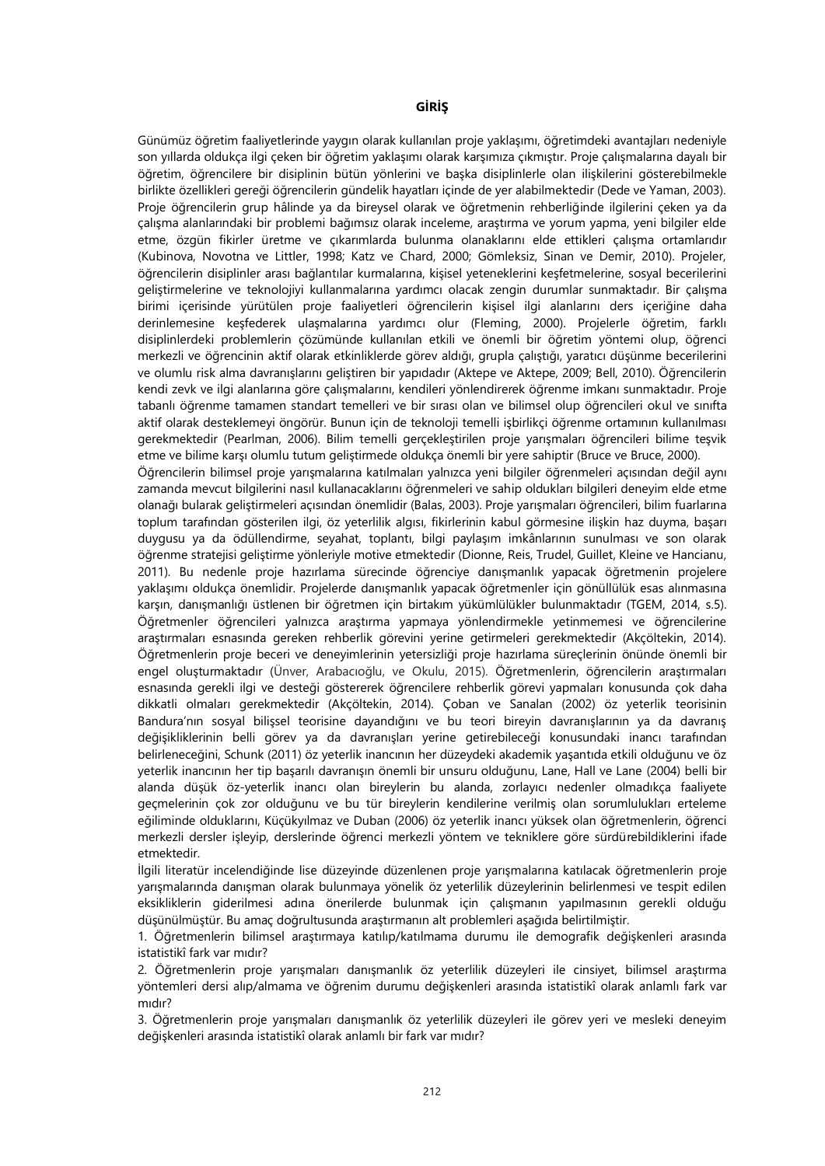# **GİRİŞ**

Günümüz öğretim faaliyetlerinde yaygın olarak kullanılan proje yaklaşımı, öğretimdeki avantajları nedeniyle son yıllarda oldukça ilgi çeken bir öğretim yaklaşımı olarak karşımıza çıkmıştır. Proje çalışmalarına dayalı bir öğretim, öğrencilere bir disiplinin bütün yönlerini ve başka disiplinlerle olan ilişkilerini gösterebilmekle birlikte özellikleri gereği öğrencilerin gündelik hayatları içinde de yer alabilmektedir (Dede ve Yaman, 2003). Proje öğrencilerin grup hâlinde ya da bireysel olarak ve öğretmenin rehberliğinde ilgilerini çeken ya da çalışma alanlarındaki bir problemi bağımsız olarak inceleme, araştırma ve yorum yapma, yeni bilgiler elde etme, özgün fikirler üretme ve çıkarımlarda bulunma olanaklarını elde ettikleri çalışma ortamlarıdır (Kubinova, Novotna ve Littler, 1998; Katz ve Chard, 2000; Gömleksiz, Sinan ve Demir, 2010). Projeler, öğrencilerin disiplinler arası bağlantılar kurmalarına, kişisel yeteneklerini keşfetmelerine, sosyal becerilerini geliştirmelerine ve teknolojiyi kullanmalarına yardımcı olacak zengin durumlar sunmaktadır. Bir çalışma birimi içerisinde yürütülen proje faaliyetleri öğrencilerin kişisel ilgi alanlarını ders içeriğine daha derinlemesine keşfederek ulaşmalarına yardımcı olur (Fleming, 2000). Projelerle öğretim, farklı disiplinlerdeki problemlerin çözümünde kullanılan etkili ve önemli bir öğretim yöntemi olup, öğrenci merkezli ve öğrencinin aktif olarak etkinliklerde görev aldığı, grupla çalıştığı, yaratıcı düşünme becerilerini ve olumlu risk alma davranışlarını geliştiren bir yapıdadır (Aktepe ve Aktepe, 2009; Bell, 2010). Öğrencilerin kendi zevk ve ilgi alanlarına göre çalışmalarını, kendileri yönlendirerek öğrenme imkanı sunmaktadır. Proje tabanlı öğrenme tamamen standart temelleri ve bir sırası olan ve bilimsel olup öğrencileri okul ve sınıfta aktif olarak desteklemeyi öngörür. Bunun için de teknoloji temelli işbirlikçi öğrenme ortamının kullanılması gerekmektedir (Pearlman, 2006). Bilim temelli gerçekleştirilen proje yarışmaları öğrencileri bilime teşvik etme ve bilime karşı olumlu tutum geliştirmede oldukça önemli bir yere sahiptir (Bruce ve Bruce, 2000).

Öğrencilerin bilimsel proje yarışmalarına katılmaları yalnızca yeni bilgiler öğrenmeleri açısından değil aynı zamanda mevcut bilgilerini nasıl kullanacaklarını öğrenmeleri ve sahip oldukları bilgileri deneyim elde etme olanağı bularak geliştirmeleri açısından önemlidir (Balas, 2003). Proje yarışmaları öğrencileri, bilim fuarlarına toplum tarafından gösterilen ilgi, öz yeterlilik algısı, fikirlerinin kabul görmesine ilişkin haz duyma, başarı duygusu ya da ödüllendirme, seyahat, toplantı, bilgi paylaşım imkânlarının sunulması ve son olarak öğrenme stratejisi geliştirme yönleriyle motive etmektedir (Dionne, Reis, Trudel, Guillet, Kleine ve Hancianu, 2011). Bu nedenle proje hazırlama sürecinde öğrenciye danışmanlık yapacak öğretmenin projelere yaklaşımı oldukça önemlidir. Projelerde danışmanlık yapacak öğretmenler için gönüllülük esas alınmasına karşın, danışmanlığı üstlenen bir öğretmen için birtakım yükümlülükler bulunmaktadır (TGEM, 2014, s.5). Öğretmenler öğrencileri yalnızca araştırma yapmaya yönlendirmekle yetinmemesi ve öğrencilerine araştırmaları esnasında gereken rehberlik görevini yerine getirmeleri gerekmektedir (Akçöltekin, 2014). Öğretmenlerin proje beceri ve deneyimlerinin yetersizliği proje hazırlama süreçlerinin önünde önemli bir engel oluşturmaktadır (Ünver, Arabacıoğlu, ve Okulu, 2015). Öğretmenlerin, öğrencilerin araştırmaları esnasında gerekli ilgi ve desteği göstererek öğrencilere rehberlik görevi yapmaları konusunda çok daha dikkatli olmaları gerekmektedir (Akçöltekin, 2014). Çoban ve Sanalan (2002) öz yeterlik teorisinin Bandura'nın sosyal bilişsel teorisine dayandığını ve bu teori bireyin davranışlarının ya da davranış değişikliklerinin belli görev ya da davranışları yerine getirebileceği konusundaki inancı tarafından belirleneceğini, Schunk (2011) öz yeterlik inancının her düzeydeki akademik yaşantıda etkili olduğunu ve öz yeterlik inancının her tip başarılı davranışın önemli bir unsuru olduğunu, Lane, Hall ve Lane (2004) belli bir alanda düşük öz-yeterlik inancı olan bireylerin bu alanda, zorlayıcı nedenler olmadıkça faaliyete geçmelerinin çok zor olduğunu ve bu tür bireylerin kendilerine verilmiş olan sorumlulukları erteleme eğiliminde olduklarını, Küçükyılmaz ve Duban (2006) öz yeterlik inancı yüksek olan öğretmenlerin, öğrenci merkezli dersler işleyip, derslerinde öğrenci merkezli yöntem ve tekniklere göre sürdürebildiklerini ifade etmektedir.

İlgili literatür incelendiğinde lise düzeyinde düzenlenen proje yarışmalarına katılacak öğretmenlerin proje yarışmalarında danışman olarak bulunmaya yönelik öz yeterlilik düzeylerinin belirlenmesi ve tespit edilen eksikliklerin giderilmesi adına önerilerde bulunmak için çalışmanın yapılmasının gerekli olduğu düşünülmüştür. Bu amaç doğrultusunda araştırmanın alt problemleri aşağıda belirtilmiştir.

1. Öğretmenlerin bilimsel araştırmaya katılıp/katılmama durumu ile demografik değişkenleri arasında istatistikî fark var mıdır?

2. Öğretmenlerin proje yarışmaları danışmanlık öz yeterlilik düzeyleri ile cinsiyet, bilimsel araştırma yöntemleri dersi alıp/almama ve öğrenim durumu değişkenleri arasında istatistikî olarak anlamlı fark var mıdır?

3. Öğretmenlerin proje yarışmaları danışmanlık öz yeterlilik düzeyleri ile görev yeri ve mesleki deneyim değişkenleri arasında istatistikî olarak anlamlı bir fark var mıdır?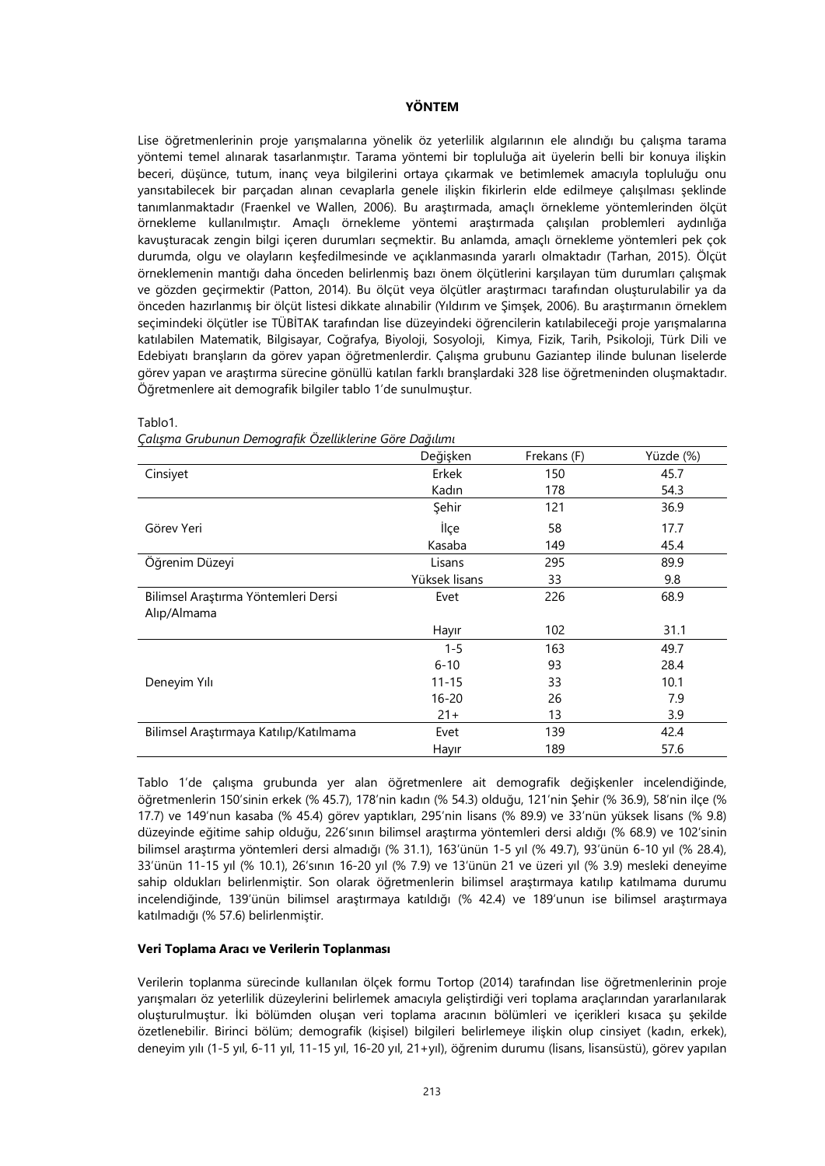# **YÖNTEM**

Lise öğretmenlerinin proje yarışmalarına yönelik öz yeterlilik algılarının ele alındığı bu çalışma tarama yöntemi temel alınarak tasarlanmıştır. Tarama yöntemi bir topluluğa ait üyelerin belli bir konuya ilişkin beceri, düşünce, tutum, inanç veya bilgilerini ortaya çıkarmak ve betimlemek amacıyla topluluğu onu yansıtabilecek bir parçadan alınan cevaplarla genele ilişkin fikirlerin elde edilmeye çalışılması şeklinde tanımlanmaktadır (Fraenkel ve Wallen, 2006). Bu araştırmada, amaçlı örnekleme yöntemlerinden ölçüt örnekleme kullanılmıştır. Amaçlı örnekleme yöntemi araştırmada çalışılan problemleri aydınlığa kavuşturacak zengin bilgi içeren durumları seçmektir. Bu anlamda, amaçlı örnekleme yöntemleri pek çok durumda, olgu ve olayların keşfedilmesinde ve açıklanmasında yararlı olmaktadır (Tarhan, 2015). Ölçüt örneklemenin mantığı daha önceden belirlenmiş bazı önem ölçütlerini karşılayan tüm durumları çalışmak ve gözden geçirmektir (Patton, 2014). Bu ölçüt veya ölçütler araştırmacı tarafından oluşturulabilir ya da önceden hazırlanmış bir ölçüt listesi dikkate alınabilir (Yıldırım ve Şimşek, 2006). Bu araştırmanın örneklem seçimindeki ölçütler ise TÜBİTAK tarafından lise düzeyindeki öğrencilerin katılabileceği proje yarışmalarına katılabilen Matematik, Bilgisayar, Coğrafya, Biyoloji, Sosyoloji, Kimya, Fizik, Tarih, Psikoloji, Türk Dili ve Edebiyatı branşların da görev yapan öğretmenlerdir. Çalışma grubunu Gaziantep ilinde bulunan liselerde görev yapan ve araştırma sürecine gönüllü katılan farklı branşlardaki 328 lise öğretmeninden oluşmaktadır. Öğretmenlere ait demografik bilgiler tablo 1'de sunulmuştur.

|                                        | Değişken      | Frekans (F) | Yüzde (%) |
|----------------------------------------|---------------|-------------|-----------|
| Cinsiyet                               | Erkek         | 150         | 45.7      |
|                                        | Kadın         | 178         | 54.3      |
|                                        | Şehir         | 121         | 36.9      |
| Görev Yeri                             | İlçe          | 58          | 17.7      |
|                                        | Kasaba        | 149         | 45.4      |
| Öğrenim Düzeyi                         | Lisans        | 295         | 89.9      |
|                                        | Yüksek lisans | 33          | 9.8       |
| Bilimsel Araştırma Yöntemleri Dersi    | Evet          | 226         | 68.9      |
| Alıp/Almama                            |               |             |           |
|                                        | Hayır         | 102         | 31.1      |
|                                        | $1 - 5$       | 163         | 49.7      |
|                                        | $6 - 10$      | 93          | 28.4      |
| Deneyim Yılı                           | $11 - 15$     | 33          | 10.1      |
|                                        | $16 - 20$     | 26          | 7.9       |
|                                        | $21+$         | 13          | 3.9       |
| Bilimsel Araştırmaya Katılıp/Katılmama | Evet          | 139         | 42.4      |
|                                        | Hayır         | 189         | 57.6      |

Tablo1.

*Çalışma Grubunun Demografik Özelliklerine Göre Dağılımı*

Tablo 1'de çalışma grubunda yer alan öğretmenlere ait demografik değişkenler incelendiğinde, öğretmenlerin 150'sinin erkek (% 45.7), 178'nin kadın (% 54.3) olduğu, 121'nin Şehir (% 36.9), 58'nin ilçe (% 17.7) ve 149'nun kasaba (% 45.4) görev yaptıkları, 295'nin lisans (% 89.9) ve 33'nün yüksek lisans (% 9.8) düzeyinde eğitime sahip olduğu, 226'sının bilimsel araştırma yöntemleri dersi aldığı (% 68.9) ve 102'sinin bilimsel araştırma yöntemleri dersi almadığı (% 31.1), 163'ünün 1-5 yıl (% 49.7), 93'ünün 6-10 yıl (% 28.4), 33'ünün 11-15 yıl (% 10.1), 26'sının 16-20 yıl (% 7.9) ve 13'ünün 21 ve üzeri yıl (% 3.9) mesleki deneyime sahip oldukları belirlenmiştir. Son olarak öğretmenlerin bilimsel araştırmaya katılıp katılmama durumu incelendiğinde, 139'ünün bilimsel araştırmaya katıldığı (% 42.4) ve 189'unun ise bilimsel araştırmaya katılmadığı (% 57.6) belirlenmiştir.

## **Veri Toplama Aracı ve Verilerin Toplanması**

Verilerin toplanma sürecinde kullanılan ölçek formu Tortop (2014) tarafından lise öğretmenlerinin proje yarışmaları öz yeterlilik düzeylerini belirlemek amacıyla geliştirdiği veri toplama araçlarından yararlanılarak oluşturulmuştur. İki bölümden oluşan veri toplama aracının bölümleri ve içerikleri kısaca şu şekilde özetlenebilir. Birinci bölüm; demografik (kişisel) bilgileri belirlemeye ilişkin olup cinsiyet (kadın, erkek), deneyim yılı (1-5 yıl, 6-11 yıl, 11-15 yıl, 16-20 yıl, 21+yıl), öğrenim durumu (lisans, lisansüstü), görev yapılan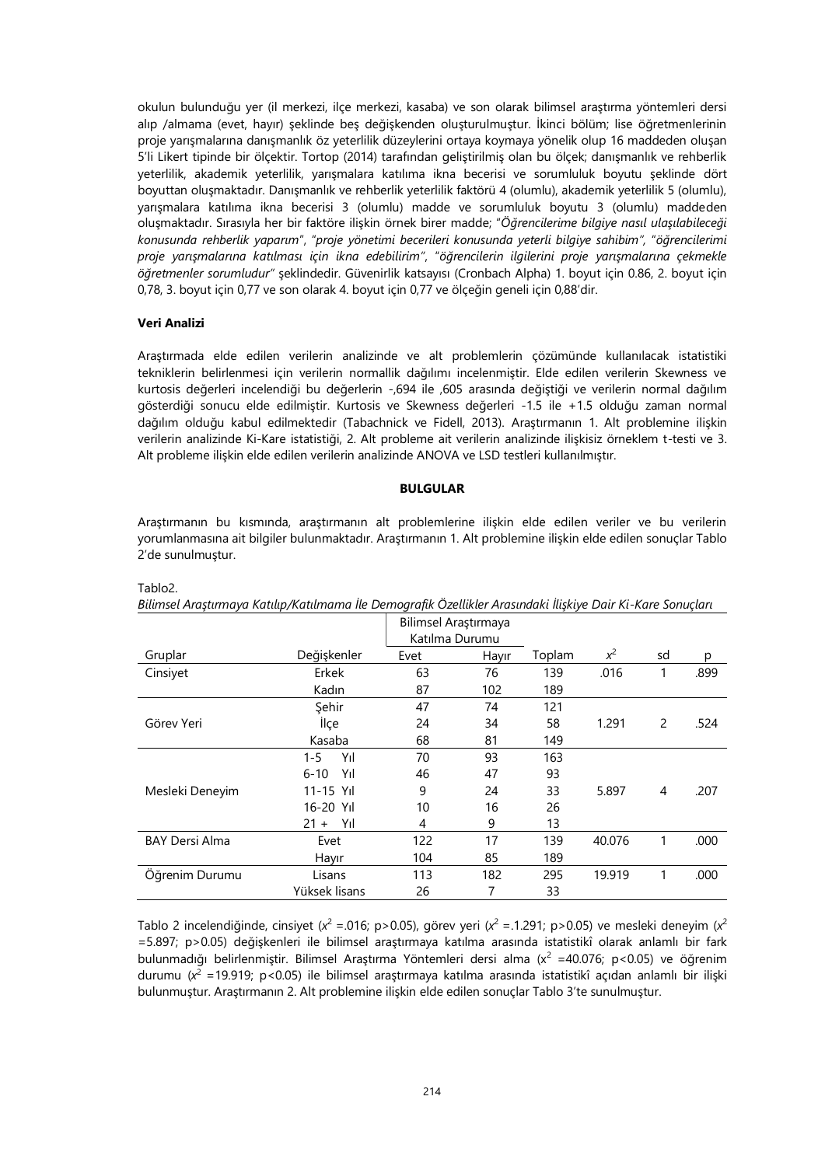okulun bulunduğu yer (il merkezi, ilçe merkezi, kasaba) ve son olarak bilimsel araştırma yöntemleri dersi alıp /almama (evet, hayır) şeklinde beş değişkenden oluşturulmuştur. İkinci bölüm; lise öğretmenlerinin proje yarışmalarına danışmanlık öz yeterlilik düzeylerini ortaya koymaya yönelik olup 16 maddeden oluşan 5'li Likert tipinde bir ölçektir. Tortop (2014) tarafından geliştirilmiş olan bu ölçek; danışmanlık ve rehberlik yeterlilik, akademik yeterlilik, yarışmalara katılıma ikna becerisi ve sorumluluk boyutu şeklinde dört boyuttan oluşmaktadır. Danışmanlık ve rehberlik yeterlilik faktörü 4 (olumlu), akademik yeterlilik 5 (olumlu), yarışmalara katılıma ikna becerisi 3 (olumlu) madde ve sorumluluk boyutu 3 (olumlu) maddeden oluşmaktadır. Sırasıyla her bir faktöre ilişkin örnek birer madde; "*Öğrencilerime bilgiye nasıl ulaşılabileceği konusunda rehberlik yaparım*", "*proje yönetimi becerileri konusunda yeterli bilgiye sahibim",* "*öğrencilerimi proje yarışmalarına katılması için ikna edebilirim"*, "*öğrencilerin ilgilerini proje yarışmalarına çekmekle öğretmenler sorumludur"* şeklindedir. Güvenirlik katsayısı (Cronbach Alpha) 1. boyut için 0.86, 2. boyut için 0,78, 3. boyut için 0,77 ve son olarak 4. boyut için 0,77 ve ölçeğin geneli için 0,88'dir.

## **Veri Analizi**

Tablo<sub>2</sub>

Araştırmada elde edilen verilerin analizinde ve alt problemlerin çözümünde kullanılacak istatistiki tekniklerin belirlenmesi için verilerin normallik dağılımı incelenmiştir. Elde edilen verilerin Skewness ve kurtosis değerleri incelendiği bu değerlerin -,694 ile ,605 arasında değiştiği ve verilerin normal dağılım gösterdiği sonucu elde edilmiştir. Kurtosis ve Skewness değerleri -1.5 ile +1.5 olduğu zaman normal dağılım olduğu kabul edilmektedir (Tabachnick ve Fidell, 2013). Araştırmanın 1. Alt problemine ilişkin verilerin analizinde Ki-Kare istatistiği, 2. Alt probleme ait verilerin analizinde ilişkisiz örneklem t-testi ve 3. Alt probleme ilişkin elde edilen verilerin analizinde ANOVA ve LSD testleri kullanılmıştır.

## **BULGULAR**

Araştırmanın bu kısmında, araştırmanın alt problemlerine ilişkin elde edilen veriler ve bu verilerin yorumlanmasına ait bilgiler bulunmaktadır. Araştırmanın 1. Alt problemine ilişkin elde edilen sonuçlar Tablo 2'de sunulmuştur.

|                       |                | Bilimsel Araştırmaya<br>Katılma Durumu |       |        |        |    |      |
|-----------------------|----------------|----------------------------------------|-------|--------|--------|----|------|
| Gruplar               | Değişkenler    | Evet                                   | Havir | Toplam | $x^2$  | sd | р    |
| Cinsiyet              | Erkek          | 63                                     | 76    | 139    | .016   | 1  | .899 |
|                       | Kadın          | 87                                     | 102   | 189    |        |    |      |
|                       | Şehir          | 47                                     | 74    | 121    |        |    |      |
| Görev Yeri            | İlçe           | 24                                     | 34    | 58     | 1.291  | 2  | .524 |
|                       | Kasaba         | 68                                     | 81    | 149    |        |    |      |
|                       | Yıl<br>$1 - 5$ | 70                                     | 93    | 163    |        |    |      |
|                       | 6-10<br>Yıl    | 46                                     | 47    | 93     |        |    |      |
| Mesleki Deneyim       | 11-15 Yıl      | 9                                      | 24    | 33     | 5.897  | 4  | .207 |
|                       | 16-20 Yıl      | 10                                     | 16    | 26     |        |    |      |
|                       | $21 + YII$     | 4                                      | 9     | 13     |        |    |      |
| <b>BAY Dersi Alma</b> | Evet           | 122                                    | 17    | 139    | 40.076 | 1  | .000 |
|                       | Hayır          | 104                                    | 85    | 189    |        |    |      |
| Öğrenim Durumu        | Lisans         | 113                                    | 182   | 295    | 19.919 |    | .000 |
|                       | Yüksek lisans  | 26                                     | 7     | 33     |        |    |      |

*Bilimsel Araştırmaya Katılıp/Katılmama İle Demografik Özellikler Arasındaki İlişkiye Dair Ki-Kare Sonuçları*

Tablo 2 incelendiğinde, cinsiyet ( $x^2 = 0.016$ ; p>0.05), görev yeri ( $x^2 = 1.291$ ; p>0.05) ve mesleki deneyim ( $x^2$ =5.897; p>0.05) değişkenleri ile bilimsel araştırmaya katılma arasında istatistikî olarak anlamlı bir fark bulunmadığı belirlenmiştir. Bilimsel Araştırma Yöntemleri dersi alma (x<sup>2</sup> =40.076; p<0.05) ve öğrenim durumu (*x* <sup>2</sup>=19.919; p<0.05) ile bilimsel araştırmaya katılma arasında istatistikî açıdan anlamlı bir ilişki bulunmuştur. Araştırmanın 2. Alt problemine ilişkin elde edilen sonuçlar Tablo 3'te sunulmuştur.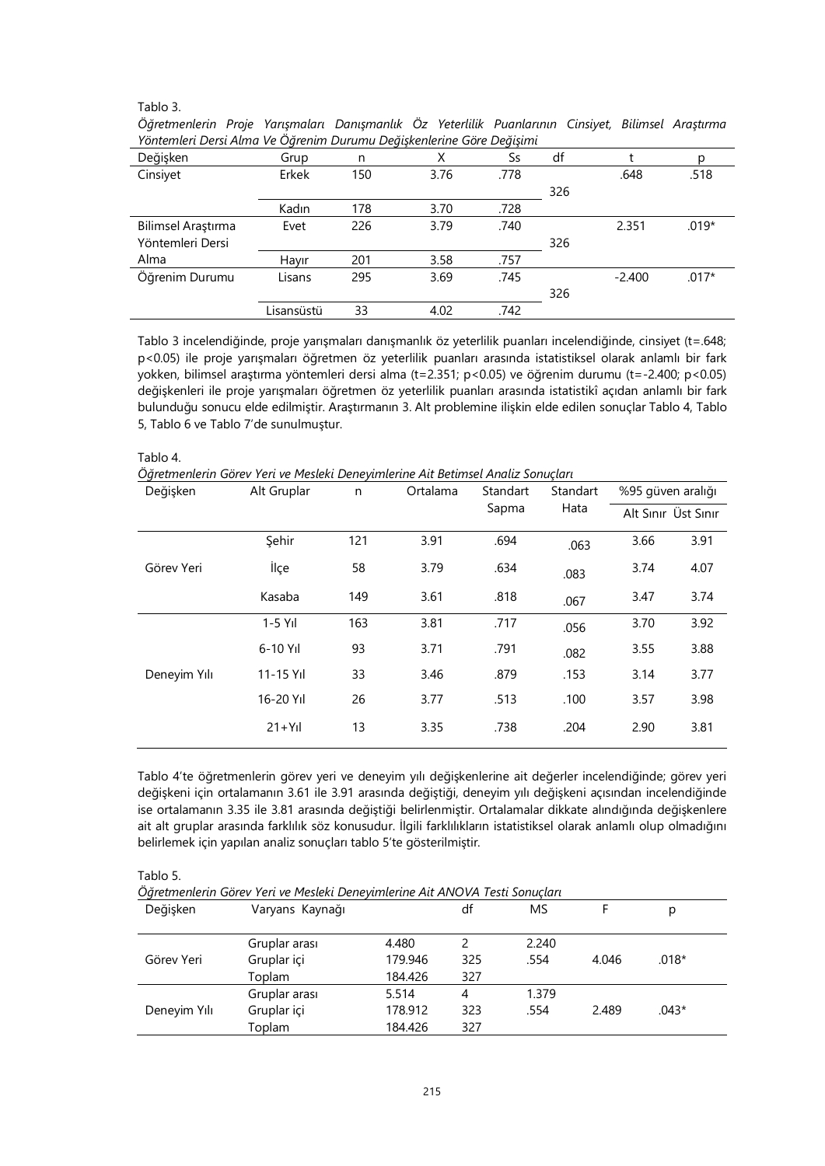## Tablo 3.

| rontemieri Dersi Alma ve Ogrenim Durumu Degiskenlerine Göre Degisimi |            |     |      |      |     |          |         |
|----------------------------------------------------------------------|------------|-----|------|------|-----|----------|---------|
| Değişken                                                             | Grup       | n   | Х    | Ss   | df  |          | р       |
| Cinsiyet                                                             | Erkek      | 150 | 3.76 | .778 |     | .648     | .518    |
|                                                                      |            |     |      |      | 326 |          |         |
|                                                                      | Kadın      | 178 | 3.70 | .728 |     |          |         |
| Bilimsel Araştırma                                                   | Evet       | 226 | 3.79 | .740 |     | 2.351    | $.019*$ |
| Yöntemleri Dersi                                                     |            |     |      |      | 326 |          |         |
| Alma                                                                 | Hayır      | 201 | 3.58 | .757 |     |          |         |
| Öğrenim Durumu                                                       | Lisans     | 295 | 3.69 | .745 |     | $-2.400$ | $.017*$ |
|                                                                      |            |     |      |      | 326 |          |         |
|                                                                      | Lisansüstü | 33  | 4.02 | .742 |     |          |         |

*Öğretmenlerin Proje Yarışmaları Danışmanlık Öz Yeterlilik Puanlarının Cinsiyet, Bilimsel Araştırma Yöntemleri Dersi Alma Ve Öğrenim Durumu Değişkenlerine Göre Değişimi*

Tablo 3 incelendiğinde, proje yarışmaları danışmanlık öz yeterlilik puanları incelendiğinde, cinsiyet (t=.648; p<0.05) ile proje yarışmaları öğretmen öz yeterlilik puanları arasında istatistiksel olarak anlamlı bir fark yokken, bilimsel araştırma yöntemleri dersi alma (t=2.351; p<0.05) ve öğrenim durumu (t=-2.400; p<0.05) değişkenleri ile proje yarışmaları öğretmen öz yeterlilik puanları arasında istatistikî açıdan anlamlı bir fark bulunduğu sonucu elde edilmiştir. Araştırmanın 3. Alt problemine ilişkin elde edilen sonuçlar Tablo 4, Tablo 5, Tablo 6 ve Tablo 7'de sunulmuştur.

*Öğretmenlerin Görev Yeri ve Mesleki Deneyimlerine Ait Betimsel Analiz Sonuçları*

| Değişken     | Alt Gruplar<br>Ortalama<br>n |     | Standart | Standart | %95 güven aralığı |                     |      |
|--------------|------------------------------|-----|----------|----------|-------------------|---------------------|------|
|              |                              |     |          | Sapma    | Hata              | Alt Sınır Üst Sınır |      |
|              | Sehir                        | 121 | 3.91     | .694     | .063              | 3.66                | 3.91 |
| Görev Yeri   | İlçe                         | 58  | 3.79     | .634     | .083              | 3.74                | 4.07 |
|              | Kasaba                       | 149 | 3.61     | .818     | .067              | 3.47                | 3.74 |
|              | $1-5$ Yıl                    | 163 | 3.81     | .717     | .056              | 3.70                | 3.92 |
| Deneyim Yılı | $6-10$ Yıl                   | 93  | 3.71     | .791     | .082              | 3.55                | 3.88 |
|              | $11 - 15$ Yıl                | 33  | 3.46     | .879     | .153              | 3.14                | 3.77 |
|              | 16-20 Yıl                    | 26  | 3.77     | .513     | .100              | 3.57                | 3.98 |
|              | $21+Y1$                      | 13  | 3.35     | .738     | .204              | 2.90                | 3.81 |

Tablo 4'te öğretmenlerin görev yeri ve deneyim yılı değişkenlerine ait değerler incelendiğinde; görev yeri değişkeni için ortalamanın 3.61 ile 3.91 arasında değiştiği, deneyim yılı değişkeni açısından incelendiğinde ise ortalamanın 3.35 ile 3.81 arasında değiştiği belirlenmiştir. Ortalamalar dikkate alındığında değişkenlere ait alt gruplar arasında farklılık söz konusudur. İlgili farklılıkların istatistiksel olarak anlamlı olup olmadığını belirlemek için yapılan analiz sonuçları tablo 5'te gösterilmiştir.

Tablo 5.

*Öğretmenlerin Görev Yeri ve Mesleki Deneyimlerine Ait ANOVA Testi Sonuçları*

| Değişken     | Varyans Kaynağı |         | df  | MS    |       | p       |  |
|--------------|-----------------|---------|-----|-------|-------|---------|--|
|              | Gruplar arası   | 4.480   |     | 2.240 |       |         |  |
| Görev Yeri   | Gruplar içi     | 179.946 | 325 | .554  | 4.046 | $.018*$ |  |
|              | Toplam          | 184.426 | 327 |       |       |         |  |
|              | Gruplar arası   | 5.514   | 4   | 1.379 |       |         |  |
| Deneyim Yılı | Gruplar içi     | 178.912 | 323 | .554  | 2.489 | $.043*$ |  |
|              | Toplam          | 184.426 | 327 |       |       |         |  |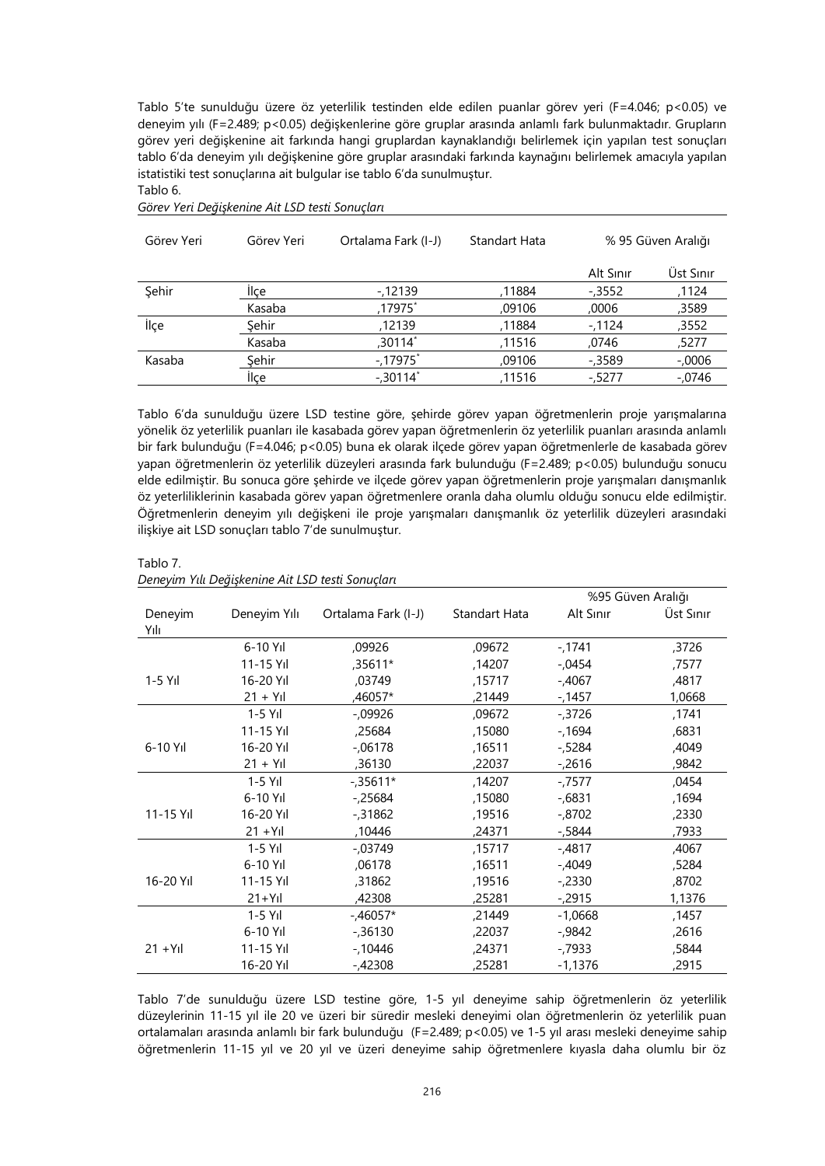Tablo 5'te sunulduğu üzere öz yeterlilik testinden elde edilen puanlar görev yeri (F=4.046; p<0.05) ve deneyim yılı (F=2.489; p<0.05) değişkenlerine göre gruplar arasında anlamlı fark bulunmaktadır. Grupların görev yeri değişkenine ait farkında hangi gruplardan kaynaklandığı belirlemek için yapılan test sonuçları tablo 6'da deneyim yılı değişkenine göre gruplar arasındaki farkında kaynağını belirlemek amacıyla yapılan istatistiki test sonuçlarına ait bulgular ise tablo 6'da sunulmuştur. Tablo 6.

| Görev Yeri | Görev Yeri | Ortalama Fark (I-J) | Standart Hata | % 95 Güven Aralığı |           |
|------------|------------|---------------------|---------------|--------------------|-----------|
|            |            |                     |               | Alt Sinir          | Üst Sınır |
| Sehir      | llçe       | $-12139$            | 11884,        | $-0.3552$          | ,1124     |
|            | Kasaba     | ,17975 $\degree$    | ,09106        | ,0006              | ,3589     |
| İlçe       | Şehir      | ,12139              | ,11884        | $-1124$            | ,3552     |
|            | Kasaba     | ,30114*             | ,11516        | ,0746              | ,5277     |
| Kasaba     | Sehir      | $-17975$ *          | ,09106        | $-0.3589$          | $-.0006$  |
|            | llce       | $-0.30114$          | ,11516        | $-5277$            | $-0.0746$ |

*Görev Yeri Değişkenine Ait LSD testi Sonuçları*

Tablo 6'da sunulduğu üzere LSD testine göre, şehirde görev yapan öğretmenlerin proje yarışmalarına yönelik öz yeterlilik puanları ile kasabada görev yapan öğretmenlerin öz yeterlilik puanları arasında anlamlı bir fark bulunduğu (F=4.046; p<0.05) buna ek olarak ilçede görev yapan öğretmenlerle de kasabada görev yapan öğretmenlerin öz yeterlilik düzeyleri arasında fark bulunduğu (F=2.489; p<0.05) bulunduğu sonucu elde edilmiştir. Bu sonuca göre şehirde ve ilçede görev yapan öğretmenlerin proje yarışmaları danışmanlık öz yeterliliklerinin kasabada görev yapan öğretmenlere oranla daha olumlu olduğu sonucu elde edilmiştir. Öğretmenlerin deneyim yılı değişkeni ile proje yarışmaları danışmanlık öz yeterlilik düzeyleri arasındaki ilişkiye ait LSD sonuçları tablo 7'de sunulmuştur.

|           |               |                     |               | %95 Güven Aralığı |           |  |
|-----------|---------------|---------------------|---------------|-------------------|-----------|--|
| Deneyim   | Deneyim Yılı  | Ortalama Fark (I-J) | Standart Hata | Alt Sinir         | Üst Sınır |  |
| Yılı      |               |                     |               |                   |           |  |
|           | $6-10$ Yıl    | ,09926              | ,09672        | -,1741            | ,3726     |  |
|           | 11-15 Yıl     | ,35611*             | ,14207        | $-0.0454$         | ,7577     |  |
| $1-5$ Yıl | 16-20 Yıl     | ,03749              | ,15717        | $-.4067$          | ,4817     |  |
|           | $21 + Y$ ıl   | ,46057*             | ,21449        | $-1457$           | 1,0668    |  |
|           | $1-5$ Yıl     | $-0.09926$          | ,09672        | $-0.3726$         | ,1741     |  |
|           | 11-15 Yıl     | ,25684              | ,15080        | -,1694            | ,6831     |  |
| 6-10 Yıl  | 16-20 Yıl     | $-06178$            | ,16511        | $-5284$           | ,4049     |  |
|           | $21 + Y1$     | ,36130              | ,22037        | $-2616$           | ,9842     |  |
|           | $1-5$ Yıl     | $-0.35611*$         | ,14207        | $-7577$           | ,0454     |  |
|           | 6-10 Yıl      | $-25684$            | ,15080        | $-6831$           | ,1694     |  |
| 11-15 Yıl | 16-20 Yıl     | $-0.31862$          | ,19516        | -,8702            | ,2330     |  |
|           | $21 + YII$    | ,10446              | ,24371        | -,5844            | ,7933     |  |
|           | $1-5$ Yıl     | $-0.03749$          | ,15717        | $-.4817$          | ,4067     |  |
|           | 6-10 Yıl      | ,06178              | ,16511        | $-.4049$          | ,5284     |  |
| 16-20 Yıl | $11 - 15$ Yıl | ,31862              | ,19516        | $-2330$           | ,8702     |  |
|           | $21+Y1$       | ,42308              | ,25281        | -,2915            | 1,1376    |  |
|           | $1-5$ Yıl     | $-.46057*$          | ,21449        | $-1,0668$         | ,1457     |  |
|           | 6-10 Yıl      | $-0.36130$          | ,22037        | -,9842            | ,2616     |  |
| $21 + Y1$ | 11-15 Yıl     | $-10446$            | ,24371        | $-7933$           | ,5844     |  |
|           | 16-20 Yıl     | $-.42308$           | ,25281        | $-1,1376$         | ,2915     |  |

Tablo 7. *Deneyim Yılı Değişkenine Ait LSD testi Sonuçları*

Tablo 7'de sunulduğu üzere LSD testine göre, 1-5 yıl deneyime sahip öğretmenlerin öz yeterlilik düzeylerinin 11-15 yıl ile 20 ve üzeri bir süredir mesleki deneyimi olan öğretmenlerin öz yeterlilik puan ortalamaları arasında anlamlı bir fark bulunduğu (F=2.489; p<0.05) ve 1-5 yıl arası mesleki deneyime sahip öğretmenlerin 11-15 yıl ve 20 yıl ve üzeri deneyime sahip öğretmenlere kıyasla daha olumlu bir öz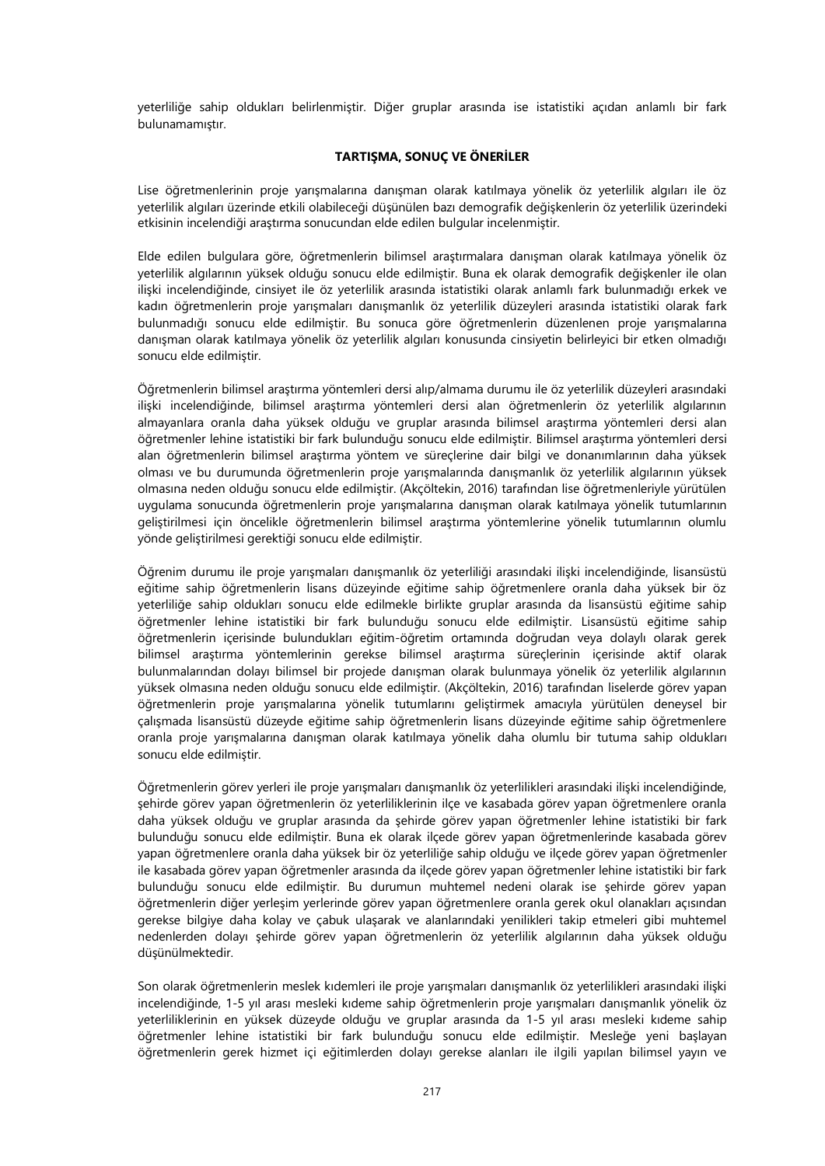yeterliliğe sahip oldukları belirlenmiştir. Diğer gruplar arasında ise istatistiki açıdan anlamlı bir fark bulunamamıştır.

# **TARTIŞMA, SONUÇ VE ÖNERİLER**

Lise öğretmenlerinin proje yarışmalarına danışman olarak katılmaya yönelik öz yeterlilik algıları ile öz yeterlilik algıları üzerinde etkili olabileceği düşünülen bazı demografik değişkenlerin öz yeterlilik üzerindeki etkisinin incelendiği araştırma sonucundan elde edilen bulgular incelenmiştir.

Elde edilen bulgulara göre, öğretmenlerin bilimsel araştırmalara danışman olarak katılmaya yönelik öz yeterlilik algılarının yüksek olduğu sonucu elde edilmiştir. Buna ek olarak demografik değişkenler ile olan ilişki incelendiğinde, cinsiyet ile öz yeterlilik arasında istatistiki olarak anlamlı fark bulunmadığı erkek ve kadın öğretmenlerin proje yarışmaları danışmanlık öz yeterlilik düzeyleri arasında istatistiki olarak fark bulunmadığı sonucu elde edilmiştir. Bu sonuca göre öğretmenlerin düzenlenen proje yarışmalarına danışman olarak katılmaya yönelik öz yeterlilik algıları konusunda cinsiyetin belirleyici bir etken olmadığı sonucu elde edilmiştir.

Öğretmenlerin bilimsel araştırma yöntemleri dersi alıp/almama durumu ile öz yeterlilik düzeyleri arasındaki ilişki incelendiğinde, bilimsel araştırma yöntemleri dersi alan öğretmenlerin öz yeterlilik algılarının almayanlara oranla daha yüksek olduğu ve gruplar arasında bilimsel araştırma yöntemleri dersi alan öğretmenler lehine istatistiki bir fark bulunduğu sonucu elde edilmiştir. Bilimsel araştırma yöntemleri dersi alan öğretmenlerin bilimsel araştırma yöntem ve süreçlerine dair bilgi ve donanımlarının daha yüksek olması ve bu durumunda öğretmenlerin proje yarışmalarında danışmanlık öz yeterlilik algılarının yüksek olmasına neden olduğu sonucu elde edilmiştir. (Akçöltekin, 2016) tarafından lise öğretmenleriyle yürütülen uygulama sonucunda öğretmenlerin proje yarışmalarına danışman olarak katılmaya yönelik tutumlarının geliştirilmesi için öncelikle öğretmenlerin bilimsel araştırma yöntemlerine yönelik tutumlarının olumlu yönde geliştirilmesi gerektiği sonucu elde edilmiştir.

Öğrenim durumu ile proje yarışmaları danışmanlık öz yeterliliği arasındaki ilişki incelendiğinde, lisansüstü eğitime sahip öğretmenlerin lisans düzeyinde eğitime sahip öğretmenlere oranla daha yüksek bir öz yeterliliğe sahip oldukları sonucu elde edilmekle birlikte gruplar arasında da lisansüstü eğitime sahip öğretmenler lehine istatistiki bir fark bulunduğu sonucu elde edilmiştir. Lisansüstü eğitime sahip öğretmenlerin içerisinde bulundukları eğitim-öğretim ortamında doğrudan veya dolaylı olarak gerek bilimsel araştırma yöntemlerinin gerekse bilimsel araştırma süreçlerinin içerisinde aktif olarak bulunmalarından dolayı bilimsel bir projede danışman olarak bulunmaya yönelik öz yeterlilik algılarının yüksek olmasına neden olduğu sonucu elde edilmiştir. (Akçöltekin, 2016) tarafından liselerde görev yapan öğretmenlerin proje yarışmalarına yönelik tutumlarını geliştirmek amacıyla yürütülen deneysel bir çalışmada lisansüstü düzeyde eğitime sahip öğretmenlerin lisans düzeyinde eğitime sahip öğretmenlere oranla proje yarışmalarına danışman olarak katılmaya yönelik daha olumlu bir tutuma sahip oldukları sonucu elde edilmiştir.

Öğretmenlerin görev yerleri ile proje yarışmaları danışmanlık öz yeterlilikleri arasındaki ilişki incelendiğinde, şehirde görev yapan öğretmenlerin öz yeterliliklerinin ilçe ve kasabada görev yapan öğretmenlere oranla daha yüksek olduğu ve gruplar arasında da şehirde görev yapan öğretmenler lehine istatistiki bir fark bulunduğu sonucu elde edilmiştir. Buna ek olarak ilçede görev yapan öğretmenlerinde kasabada görev yapan öğretmenlere oranla daha yüksek bir öz yeterliliğe sahip olduğu ve ilçede görev yapan öğretmenler ile kasabada görev yapan öğretmenler arasında da ilçede görev yapan öğretmenler lehine istatistiki bir fark bulunduğu sonucu elde edilmiştir. Bu durumun muhtemel nedeni olarak ise şehirde görev yapan öğretmenlerin diğer yerleşim yerlerinde görev yapan öğretmenlere oranla gerek okul olanakları açısından gerekse bilgiye daha kolay ve çabuk ulaşarak ve alanlarındaki yenilikleri takip etmeleri gibi muhtemel nedenlerden dolayı şehirde görev yapan öğretmenlerin öz yeterlilik algılarının daha yüksek olduğu düşünülmektedir.

Son olarak öğretmenlerin meslek kıdemleri ile proje yarışmaları danışmanlık öz yeterlilikleri arasındaki ilişki incelendiğinde, 1-5 yıl arası mesleki kıdeme sahip öğretmenlerin proje yarışmaları danışmanlık yönelik öz yeterliliklerinin en yüksek düzeyde olduğu ve gruplar arasında da 1-5 yıl arası mesleki kıdeme sahip öğretmenler lehine istatistiki bir fark bulunduğu sonucu elde edilmiştir. Mesleğe yeni başlayan öğretmenlerin gerek hizmet içi eğitimlerden dolayı gerekse alanları ile ilgili yapılan bilimsel yayın ve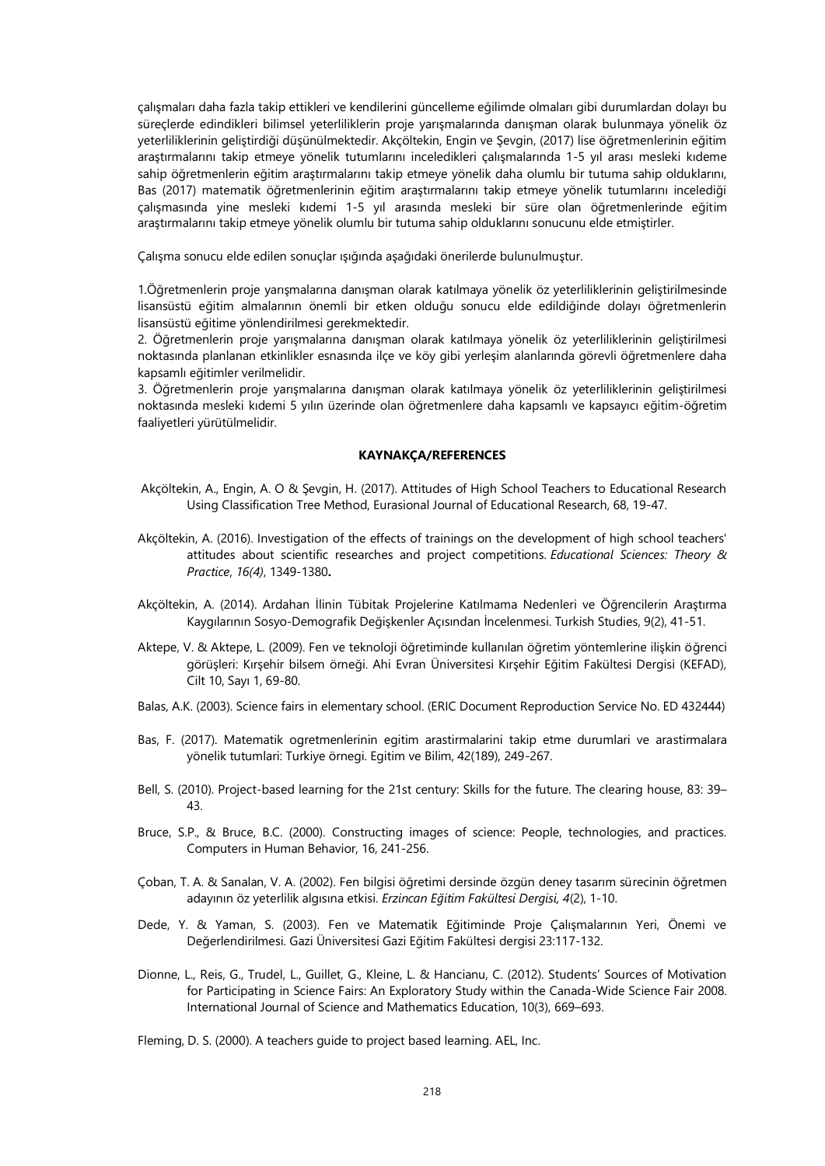çalışmaları daha fazla takip ettikleri ve kendilerini güncelleme eğilimde olmaları gibi durumlardan dolayı bu süreçlerde edindikleri bilimsel yeterliliklerin proje yarışmalarında danışman olarak bulunmaya yönelik öz yeterliliklerinin geliştirdiği düşünülmektedir. Akçöltekin, Engin ve Şevgin, (2017) lise öğretmenlerinin eğitim araştırmalarını takip etmeye yönelik tutumlarını inceledikleri çalışmalarında 1-5 yıl arası mesleki kıdeme sahip öğretmenlerin eğitim araştırmalarını takip etmeye yönelik daha olumlu bir tutuma sahip olduklarını, Bas (2017) matematik öğretmenlerinin eğitim araştırmalarını takip etmeye yönelik tutumlarını incelediği çalışmasında yine mesleki kıdemi 1-5 yıl arasında mesleki bir süre olan öğretmenlerinde eğitim araştırmalarını takip etmeye yönelik olumlu bir tutuma sahip olduklarını sonucunu elde etmiştirler.

Çalışma sonucu elde edilen sonuçlar ışığında aşağıdaki önerilerde bulunulmuştur.

1.Öğretmenlerin proje yarışmalarına danışman olarak katılmaya yönelik öz yeterliliklerinin geliştirilmesinde lisansüstü eğitim almalarının önemli bir etken olduğu sonucu elde edildiğinde dolayı öğretmenlerin lisansüstü eğitime yönlendirilmesi gerekmektedir.

2. Öğretmenlerin proje yarışmalarına danışman olarak katılmaya yönelik öz yeterliliklerinin geliştirilmesi noktasında planlanan etkinlikler esnasında ilçe ve köy gibi yerleşim alanlarında görevli öğretmenlere daha kapsamlı eğitimler verilmelidir.

3. Öğretmenlerin proje yarışmalarına danışman olarak katılmaya yönelik öz yeterliliklerinin geliştirilmesi noktasında mesleki kıdemi 5 yılın üzerinde olan öğretmenlere daha kapsamlı ve kapsayıcı eğitim-öğretim faaliyetleri yürütülmelidir.

# **KAYNAKÇA/REFERENCES**

- Akçöltekin, A., Engin, A. O & Şevgin, H. (2017). Attitudes of High School Teachers to Educational Research Using Classification Tree Method, Eurasional Journal of Educational Research, 68, 19-47.
- Akçöltekin, A. (2016). Investigation of the effects of trainings on the development of high school teachers' attitudes about scientific researches and project competitions. *Educational Sciences: Theory & Practice*, *16(4)*, 1349-1380**.**
- Akçöltekin, A. (2014). Ardahan İlinin Tübitak Projelerine Katılmama Nedenleri ve Öğrencilerin Araştırma Kaygılarının Sosyo-Demografik Değişkenler Açısından İncelenmesi. Turkish Studies, 9(2), 41-51.
- Aktepe, V. & Aktepe, L. (2009). Fen ve teknoloji öğretiminde kullanılan öğretim yöntemlerine ilişkin öğrenci görüşleri: Kırşehir bilsem örneği. Ahi Evran Üniversitesi Kırşehir Eğitim Fakültesi Dergisi (KEFAD), Cilt 10, Sayı 1, 69-80.
- Balas, A.K. (2003). Science fairs in elementary school. (ERIC Document Reproduction Service No. ED 432444)
- Bas, F. (2017). Matematik ogretmenlerinin egitim arastirmalarini takip etme durumlari ve arastirmalara yönelik tutumlari: Turkiye örnegi. Egitim ve Bilim, 42(189), 249-267.
- Bell, S. (2010). Project-based learning for the 21st century: Skills for the future. The clearing house, 83: 39– 43.
- Bruce, S.P., & Bruce, B.C. (2000). Constructing images of science: People, technologies, and practices. Computers in Human Behavior, 16, 241-256.
- Çoban, T. A. & Sanalan, V. A. (2002). Fen bilgisi öğretimi dersinde özgün deney tasarım sürecinin öğretmen adayının öz yeterlilik algısına etkisi. *Erzincan Eğitim Fakültesi Dergisi, 4*(2), 1-10.
- Dede, Y. & Yaman, S. (2003). Fen ve Matematik Eğitiminde Proje Çalışmalarının Yeri, Önemi ve Değerlendirilmesi. Gazi Üniversitesi Gazi Eğitim Fakültesi dergisi 23:117-132.
- Dionne, L., Reis, G., Trudel, L., Guillet, G., Kleine, L. & Hancianu, C. (2012). Students' Sources of Motivation for Participating in Science Fairs: An Exploratory Study within the Canada-Wide Science Fair 2008. International Journal of Science and Mathematics Education, 10(3), 669–693.

Fleming, D. S. (2000). A teachers guide to project based learning. AEL, Inc.